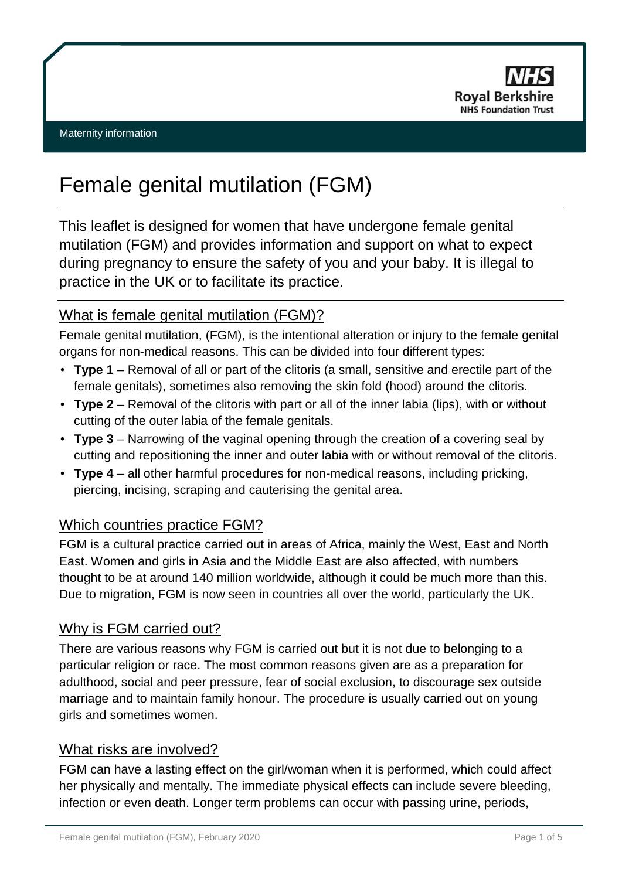

# Female genital mutilation (FGM)

This leaflet is designed for women that have undergone female genital mutilation (FGM) and provides information and support on what to expect during pregnancy to ensure the safety of you and your baby. It is illegal to practice in the UK or to facilitate its practice.

### What is female genital mutilation (FGM)?

Female genital mutilation, (FGM), is the intentional alteration or injury to the female genital organs for non-medical reasons. This can be divided into four different types:

- **Type 1** Removal of all or part of the clitoris (a small, sensitive and erectile part of the female genitals), sometimes also removing the skin fold (hood) around the clitoris.
- **Type 2** Removal of the clitoris with part or all of the inner labia (lips), with or without cutting of the outer labia of the female genitals.
- **Type 3** Narrowing of the vaginal opening through the creation of a covering seal by cutting and repositioning the inner and outer labia with or without removal of the clitoris.
- **Type 4** all other harmful procedures for non-medical reasons, including pricking, piercing, incising, scraping and cauterising the genital area.

### Which countries practice FGM?

FGM is a cultural practice carried out in areas of Africa, mainly the West, East and North East. Women and girls in Asia and the Middle East are also affected, with numbers thought to be at around 140 million worldwide, although it could be much more than this. Due to migration, FGM is now seen in countries all over the world, particularly the UK.

#### Why is FGM carried out?

There are various reasons why FGM is carried out but it is not due to belonging to a particular religion or race. The most common reasons given are as a preparation for adulthood, social and peer pressure, fear of social exclusion, to discourage sex outside marriage and to maintain family honour. The procedure is usually carried out on young girls and sometimes women.

#### What risks are involved?

FGM can have a lasting effect on the girl/woman when it is performed, which could affect her physically and mentally. The immediate physical effects can include severe bleeding, infection or even death. Longer term problems can occur with passing urine, periods,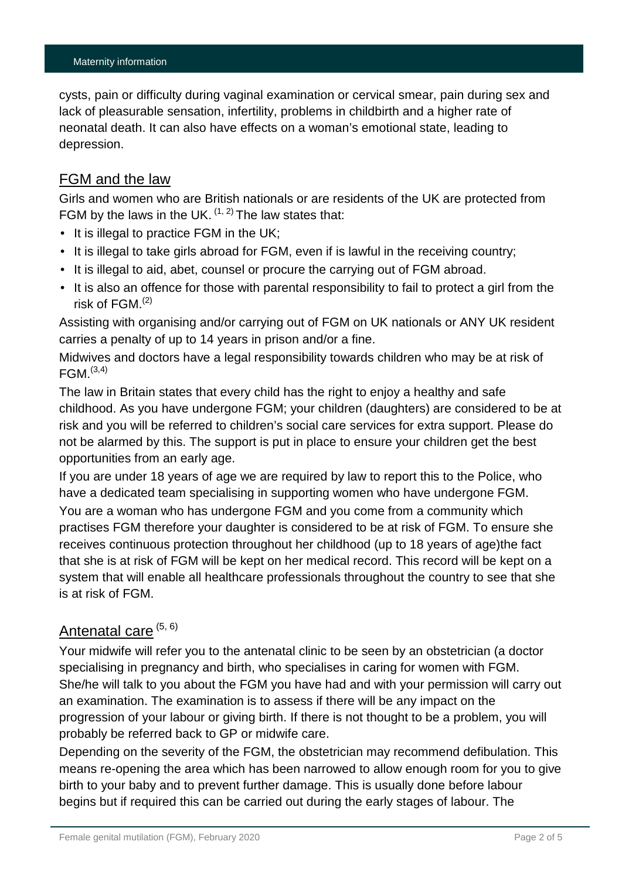#### Maternity information

cysts, pain or difficulty during vaginal examination or cervical smear, pain during sex and lack of pleasurable sensation, infertility, problems in childbirth and a higher rate of neonatal death. It can also have effects on a woman's emotional state, leading to depression.

#### FGM and the law

Girls and women who are British nationals or are residents of the UK are protected from FGM by the laws in the UK.  $(1, 2)$  The law states that:

- It is illegal to practice FGM in the UK;
- $\cdot$  It is illegal to take girls abroad for FGM, even if is lawful in the receiving country;
- $\cdot$  It is illegal to aid, abet, counsel or procure the carrying out of FGM abroad.
- $\cdot$  It is also an offence for those with parental responsibility to fail to protect a girl from the risk of FGM. (2)

Assisting with organising and/or carrying out of FGM on UK nationals or ANY UK resident carries a penalty of up to 14 years in prison and/or a fine.

Midwives and doctors have a legal responsibility towards children who may be at risk of  $FGM.<sup>(3,4)</sup>$ 

The law in Britain states that every child has the right to enjoy a healthy and safe childhood. As you have undergone FGM; your children (daughters) are considered to be at risk and you will be referred to children's social care services for extra support. Please do not be alarmed by this. The support is put in place to ensure your children get the best opportunities from an early age.

If you are under 18 years of age we are required by law to report this to the Police, who have a dedicated team specialising in supporting women who have undergone FGM.

You are a woman who has undergone FGM and you come from a community which practises FGM therefore your daughter is considered to be at risk of FGM. To ensure she receives continuous protection throughout her childhood (up to 18 years of age)the fact that she is at risk of FGM will be kept on her medical record. This record will be kept on a system that will enable all healthcare professionals throughout the country to see that she is at risk of FGM.

# Antenatal care (5, 6)

Your midwife will refer you to the antenatal clinic to be seen by an obstetrician (a doctor specialising in pregnancy and birth, who specialises in caring for women with FGM. She/he will talk to you about the FGM you have had and with your permission will carry out an examination. The examination is to assess if there will be any impact on the progression of your labour or giving birth. If there is not thought to be a problem, you will probably be referred back to GP or midwife care.

Depending on the severity of the FGM, the obstetrician may recommend defibulation. This means re-opening the area which has been narrowed to allow enough room for you to give birth to your baby and to prevent further damage. This is usually done before labour begins but if required this can be carried out during the early stages of labour. The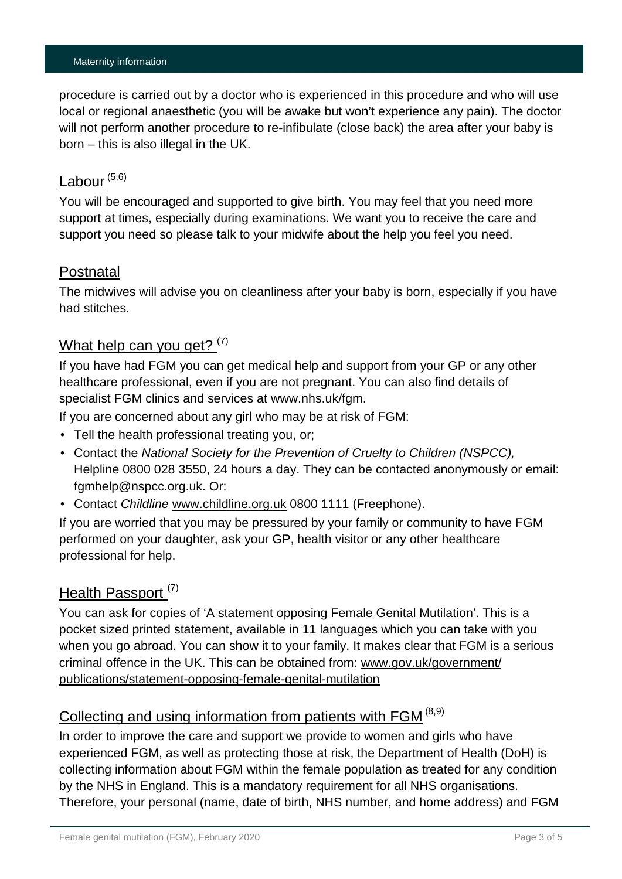#### Maternity information

procedure is carried out by a doctor who is experienced in this procedure and who will use local or regional anaesthetic (you will be awake but won't experience any pain). The doctor will not perform another procedure to re-infibulate (close back) the area after your baby is born – this is also illegal in the UK.

### $Lab$ our  $(5,6)$

You will be encouraged and supported to give birth. You may feel that you need more support at times, especially during examinations. We want you to receive the care and support you need so please talk to your midwife about the help you feel you need.

#### Postnatal

The midwives will advise you on cleanliness after your baby is born, especially if you have had stitches.

#### What help can you get?  $(7)$

If you have had FGM you can get medical help and support from your GP or any other healthcare professional, even if you are not pregnant. You can also find details of specialist FGM clinics and services at www.nhs.uk/fgm.

If you are concerned about any girl who may be at risk of FGM:

- Tell the health professional treating you, or;
- Contact the *National Society for the Prevention of Cruelty to Children (NSPCC),*  Helpline 0800 028 3550, 24 hours a day. They can be contacted anonymously or email: [fgmhelp@nspcc.org.uk.](mailto:fgmhelp@nspcc.org.uk) Or:
- Contact *Childline* [www.childline.org.uk](http://www.childline.org.uk/) 0800 1111 (Freephone).

If you are worried that you may be pressured by your family or community to have FGM performed on your daughter, ask your GP, health visitor or any other healthcare professional for help.

## Health Passport<sup>(7)</sup>

You can ask for copies of 'A statement opposing Female Genital Mutilation'. This is a pocket sized printed statement, available in 11 languages which you can take with you when you go abroad. You can show it to your family. It makes clear that FGM is a serious criminal offence in the UK. This can be obtained from: [www.gov.uk/government/](http://www.gov.uk/government/publications/statement-opposing-female-genital-mutilation) [publications/statement-opposing-female-genital-mutilation](http://www.gov.uk/government/publications/statement-opposing-female-genital-mutilation)

# Collecting and using information from patients with FGM<sup>(8,9)</sup>

In order to improve the care and support we provide to women and girls who have experienced FGM, as well as protecting those at risk, the Department of Health (DoH) is collecting information about FGM within the female population as treated for any condition by the NHS in England. This is a mandatory requirement for all NHS organisations. Therefore, your personal (name, date of birth, NHS number, and home address) and FGM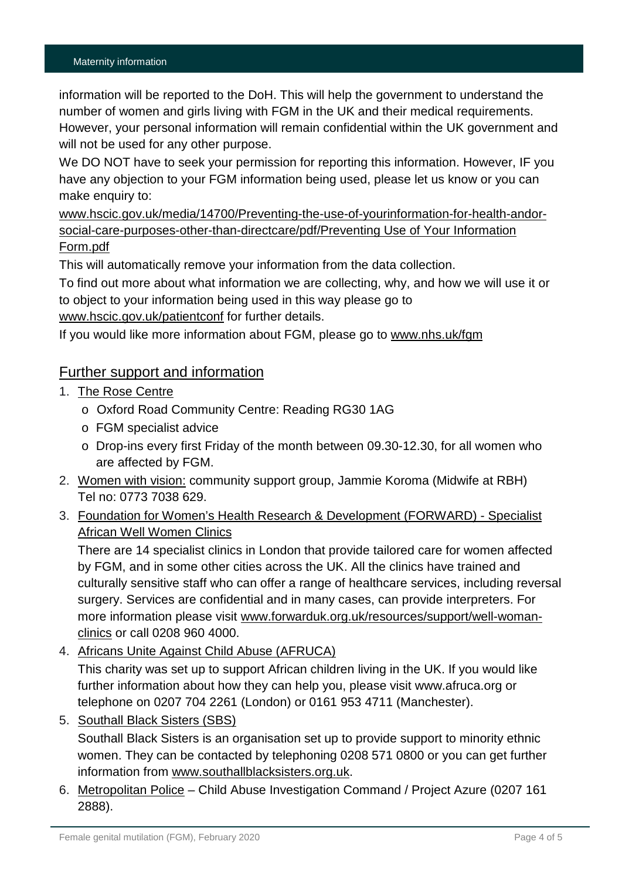information will be reported to the DoH. This will help the government to understand the number of women and girls living with FGM in the UK and their medical requirements. However, your personal information will remain confidential within the UK government and will not be used for any other purpose.

We DO NOT have to seek your permission for reporting this information. However, IF you have any objection to your FGM information being used, please let us know or you can make enquiry to:

[www.hscic.gov.uk/media/14700/Preventing-the-use-of-yourinformation-for-health-andor](http://www.hscic.gov.uk/media/14700/Preventing-the-use-of-yourinformation-for-health-andor-social-care-purposes-other-than-directcare/pdf/Preventing%20Use%20of%20Your%20Information%20Form.pdf)[social-care-purposes-other-than-directcare/pdf/Preventing Use of Your Information](http://www.hscic.gov.uk/media/14700/Preventing-the-use-of-yourinformation-for-health-andor-social-care-purposes-other-than-directcare/pdf/Preventing%20Use%20of%20Your%20Information%20Form.pdf)  [Form.pdf](http://www.hscic.gov.uk/media/14700/Preventing-the-use-of-yourinformation-for-health-andor-social-care-purposes-other-than-directcare/pdf/Preventing%20Use%20of%20Your%20Information%20Form.pdf) 

This will automatically remove your information from the data collection.

To find out more about what information we are collecting, why, and how we will use it or to object to your information being used in this way please go to [www.hscic.gov.uk/patientconf](http://www.hscic.gov.uk/patientconf) for further details.

If you would like more information about FGM, please go to [www.nhs.uk/fgm](http://www.nhs.uk/fgm)

#### Further support and information

- 1. The Rose Centre
	- o Oxford Road Community Centre: Reading RG30 1AG
	- o FGM specialist advice
	- o Drop-ins every first Friday of the month between 09.30-12.30, for all women who are affected by FGM.
- 2. Women with vision: community support group, Jammie Koroma (Midwife at RBH) Tel no: 0773 7038 629.
- 3. Foundation for Women's Health Research & Development (FORWARD) Specialist African Well Women Clinics

There are 14 specialist clinics in London that provide tailored care for women affected by FGM, and in some other cities across the UK. All the clinics have trained and culturally sensitive staff who can offer a range of healthcare services, including reversal surgery. Services are confidential and in many cases, can provide interpreters. For more information please visit [www.forwarduk.org.uk/resources/support/well-woman](http://www.forwarduk.org.uk/resources/support/well-woman-clinics)[clinics](http://www.forwarduk.org.uk/resources/support/well-woman-clinics) or call 0208 960 4000.

4. Africans Unite Against Child Abuse (AFRUCA)

This charity was set up to support African children living in the UK. If you would like further information about how they can help you, please visit [www.afruca.org](http://www.afruca.org/) or telephone on 0207 704 2261 (London) or 0161 953 4711 (Manchester).

5. Southall Black Sisters (SBS)

Southall Black Sisters is an organisation set up to provide support to minority ethnic women. They can be contacted by telephoning 0208 571 0800 or you can get further information from [www.southallblacksisters.org.uk.](http://www.southallblacksisters.org.uk/)

6. Metropolitan Police – Child Abuse Investigation Command / Project Azure (0207 161 2888).